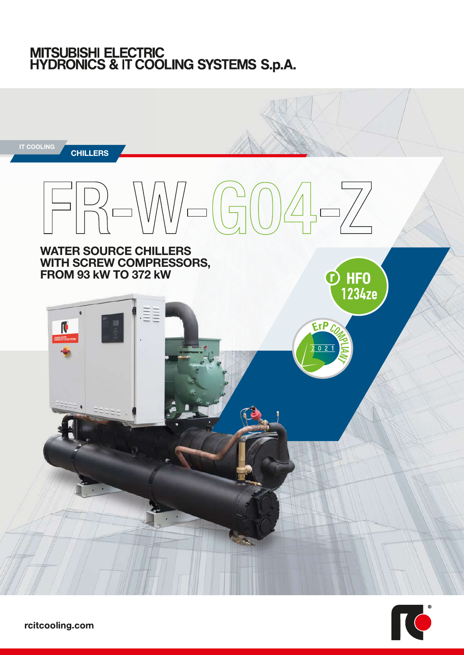# MITSUBISHI ELECTRIC<br>HYDRONICS & IT COOLING SYSTEMS S.p.A.



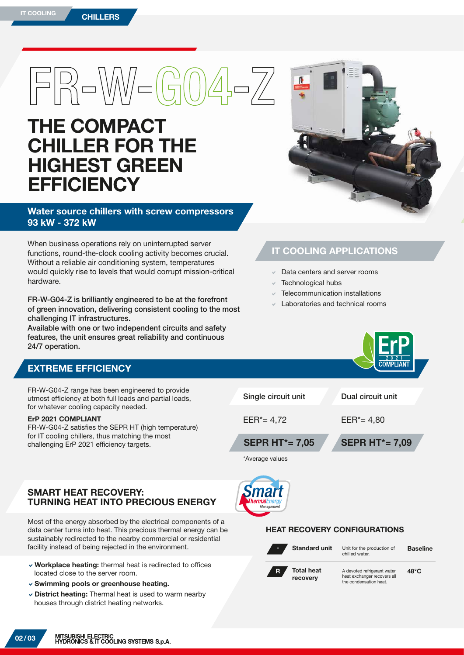# $|F|R-WN=(G|0)4-EZ$

## THE COMPACT CHILLER FOR THE HIGHEST GREEN **EFFICIENCY**

#### Water source chillers with screw compressors 93 kW - 372 kW

When business operations rely on uninterrupted server functions, round-the-clock cooling activity becomes crucial. Without a reliable air conditioning system, temperatures would quickly rise to levels that would corrupt mission-critical hardware.

FR-W-G04-Z is brilliantly engineered to be at the forefront of green innovation, delivering consistent cooling to the most challenging IT infrastructures.

Available with one or two independent circuits and safety features, the unit ensures great reliability and continuous 24/7 operation.

#### EXTREME EFFICIENCY

FR-W-G04-Z range has been engine utmost efficiency at both full loads for whatever cooling capacity need

#### ErP 2021 COMPLIANT

FR-W-G04-Z satisfies the SEPR HT for IT cooling chillers, thus matchir challenging ErP 2021 efficiency tar



#### IT COOLING APPLICATIONS

- Data centers and server rooms
- Technological hubs
- Telecommunication installations
- Laboratories and technical rooms

|                                                 |                               | $\mathcal{P}$<br><b>COMPLIANT</b> |
|-------------------------------------------------|-------------------------------|-----------------------------------|
| neered to provide<br>and partial loads,<br>led. | Single circuit unit           | Dual circuit unit                 |
| T (high temperature)<br>ng the most<br>gets.    | $EER^* = 4,72$                | $EER^* = 4,80$                    |
|                                                 | <b>SEPR HT*= 7,05</b>         | <b>SEPR HT*= 7,09</b>             |
|                                                 | *Average values               |                                   |
| Y.<br><b>RECIOUS ENERGY</b>                     | <b>Smart</b><br>ThermalEnergy |                                   |

#### HEAT RECOVERY CONFIGURATIONS

Standard unit -

Unit for the production of chiIled water.

**F.D** 

 $48°C$ 

Total heat recovery R

A devoted refrigerant water heat exchanger recovers all the condensation heat.

#### SMART HEAT RECOVER **TURNING HEAT INTO PF**

Most of the energy absorbed by the electrical components of a data center turns into heat. This precious thermal energy can be sustainably redirected to the nearby commercial or residential facility instead of being rejected in the environment.

- $\vee$  Workplace heating: thermal heat is redirected to offices located close to the server room.
- $\vee$  Swimming pools or greenhouse heating.
- $\vee$  District heating: Thermal heat is used to warm nearby houses through district heating networks.

02 / 03

Baseline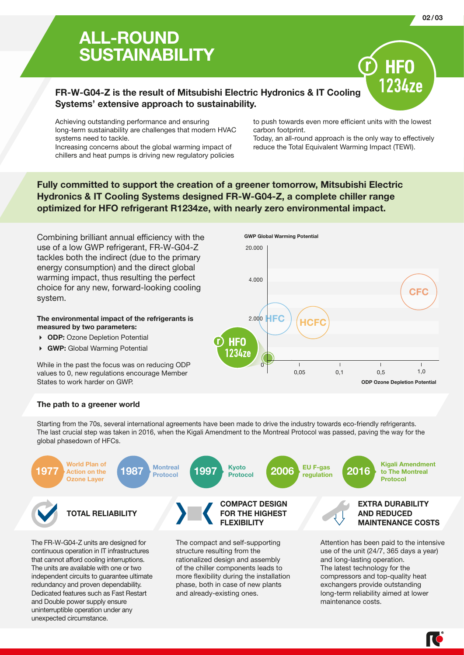## ALL-ROUND **SUSTAINABILITY**

#### FR-W-G04-Z is the result of Mitsubishi Electric Hydronics & IT Cooling Systems' extensive approach to sustainability.

Achieving outstanding performance and ensuring long-term sustainability are challenges that modern HVAC systems need to tackle.

Increasing concerns about the global warming impact of chillers and heat pumps is driving new regulatory policies to push towards even more efficient units with the lowest carbon footprint.

Today, an all-round approach is the only way to effectively reduce the Total Equivalent Warming Impact (TEWI).

Fully committed to support the creation of a greener tomorrow, Mitsubishi Electric Hydronics & IT Cooling Systems designed FR-W-G04-Z, a complete chiller range optimized for HFO refrigerant R1234ze, with nearly zero environmental impact.

Combining brilliant annual efficiency with the use of a low GWP refrigerant, FR-W-G04-Z tackles both the indirect (due to the primary energy consumption) and the direct global warming impact, thus resulting the perfect choice for any new, forward-looking cooling system.

#### The environmental impact of the refrigerants is measured by two parameters:

- ▶ ODP: Ozone Depletion Potential
- 4 GWP: Global Warming Potential

While in the past the focus was on reducing ODP values to 0, new regulations encourage Member States to work harder on GWP.



#### The path to a greener world

Starting from the 70s, several international agreements have been made to drive the industry towards eco-friendly refrigerants. The last crucial step was taken in 2016, when the Kigali Amendment to the Montreal Protocol was passed, paving the way for the global phasedown of HFCs.



The FR-W-G04-Z units are designed for continuous operation in IT infrastructures that cannot afford cooling interruptions. The units are available with one or two independent circuits to guarantee ultimate redundancy and proven dependability. Dedicated features such as Fast Restart and Double power supply ensure uninterruptible operation under any unexpected circumstance.

The compact and self-supporting structure resulting from the rationalized design and assembly of the chiller components leads to more flexibility during the installation phase, both in case of new plants and already-existing ones.

Attention has been paid to the intensive use of the unit (24/7, 365 days a year) and long-lasting operation. The latest technology for the compressors and top-quality heat exchangers provide outstanding long-term reliability aimed at lower maintenance costs.

ſĊ

1234ze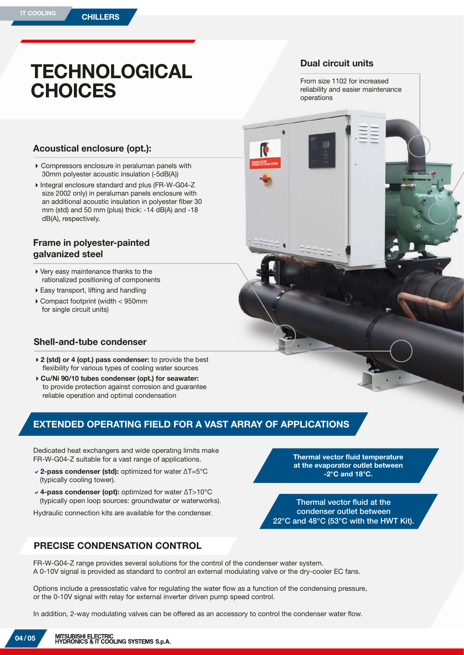## **TECHNOLOGICAL CHOICES**

#### Dual circuit units

From size 1102 for increased reliability and easier maintenance operations

#### Acoustical enclosure (opt.):

- 4Compressors enclosure in peraluman panels with 30mm polyester acoustic insulation (-5dB(A))
- 4Integral enclosure standard and plus (FR-W-G04-Z size 2002 only) in peraluman panels enclosure with an additional acoustic insulation in polyester fiber 30 mm (std) and 50 mm (plus) thick: -14 dB(A) and -18 dB(A), respectively.

#### Frame in polyester-painted galvanized steel

- 4Very easy maintenance thanks to the rationalized positioning of components
- $\blacktriangleright$  Easy transport, lifting and handling
- 4Compact footprint (width < 950mm for single circuit units)

#### Shell-and-tube condenser

- ▶ 2 (std) or 4 (opt.) pass condenser: to provide the best flexibility for various types of cooling water sources
- ▶ Cu/Ni 90/10 tubes condenser (opt.) for seawater: to provide protection against corrosion and guarantee reliable operation and optimal condensation

#### EXTENDED OPERATING FIELD FOR A VAST ARRAY OF APPLICATIONS

Dedicated heat exchangers and wide operating limits make FR-W-G04-Z suitable for a vast range of applications.

- a2-pass condenser (std): optimized for water ΔT=5°C (typically cooling tower).
- a4-pass condenser (opt): optimized for water ΔT>10°C (typically open loop sources: groundwater or waterworks).

Hydraulic connection kits are available for the condenser.



Thermal vector fluid at the condenser outlet between 22°C and 48°C (53°C with the HWT Kit).

#### PRECISE CONDENSATION CONTROL

FR-W-G04-Z range provides several solutions for the control of the condenser water system. A 0-10V signal is provided as standard to control an external modulating valve or the dry-cooler EC fans.

Options include a pressostatic valve for regulating the water flow as a function of the condensing pressure, or the 0-10V signal with relay for external inverter driven pump speed control.

In addition, 2-way modulating valves can be offered as an accessory to control the condenser water flow.

04 / 05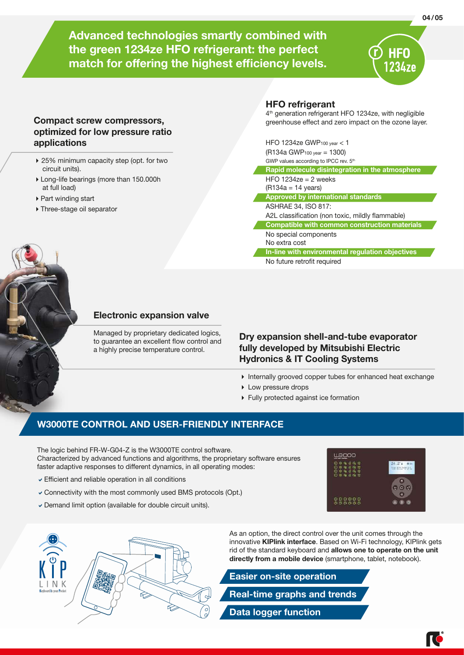Advanced technologies smartly combined with the green 1234ze HFO refrigerant: the perfect match for offering the highest efficiency levels.

#### HFO refrigerant

4<sup>th</sup> generation refrigerant HFO 1234ze, with negligible greenhouse effect and zero impact on the ozone layer.

| HFO 1234ze GWP100 year $<$ 1<br>(R134a GWP <sub>100 year</sub> = 1300)<br>GWP values according to IPCC rev. 5th |
|-----------------------------------------------------------------------------------------------------------------|
| Rapid molecule disintegration in the atmosphere                                                                 |
| HFO 1234ze = 2 weeks<br>$(R134a = 14 \text{ years})$                                                            |
| <b>Approved by international standards</b>                                                                      |
| ASHRAE 34, ISO 817:                                                                                             |
| A2L classification (non toxic, mildly flammable)                                                                |
| <b>Compatible with common construction materials</b>                                                            |
| No special components<br>No extra cost                                                                          |
| In-line with environmental regulation objectives                                                                |
| No future retrofit required                                                                                     |



#### Electronic expansion valve

Managed by proprietary dedicated logics, to guarantee an excellent flow control and a highly precise temperature control.

#### Dry expansion shell-and-tube evaporator fully developed by Mitsubishi Electric Hydronics & IT Cooling Systems

- 4 Internally grooved copper tubes for enhanced heat exchange
- **Low pressure drops**
- 4 Fully protected against ice formation

#### W3000TE CONTROL AND USER-FRIENDLY INTERFACE

The logic behind FR-W-G04-Z is the W3000TE control software. Characterized by advanced functions and algorithms, the proprietary software ensures faster adaptive responses to different dynamics, in all operating modes:

 $\triangleright$  Efficient and reliable operation in all conditions

Compact screw compressors, optimized for low pressure ratio

▶ 25% minimum capacity step (opt. for two

4Long-life bearings (more than 150.000h

applications

circuit units).

at full load) ▶ Part winding start 4Three-stage oil separator

- $\checkmark$  Connectivity with the most commonly used BMS protocols (Opt.)
- $\triangledown$  Demand limit option (available for double circuit units).





As an option, the direct control over the unit comes through the innovative **KIPlink interface**. Based on Wi-Fi technology, KIPlink gets rid of the standard keyboard and allows one to operate on the unit directly from a mobile device (smartphone, tablet, notebook).



#### 04 / 05

HFO 1234ze

ſĊ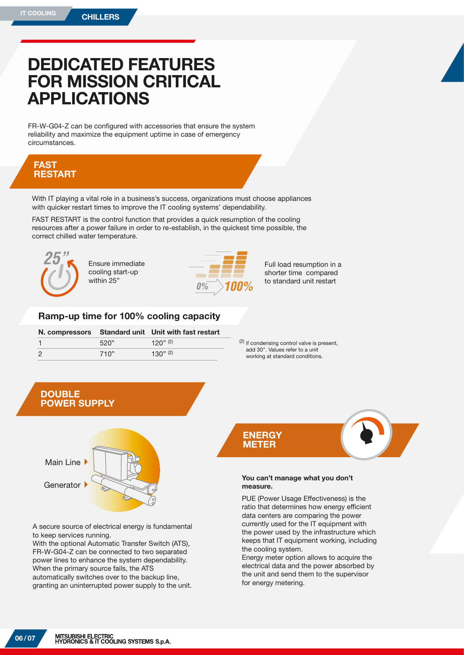## DEDICATED FEATURES FOR MISSION CRITICAL APPLICATIONS

FR-W-G04-Z can be configured with accessories that ensure the system reliability and maximize the equipment uptime in case of emergency circumstances.

#### FAST RESTART

With IT playing a vital role in a business's success, organizations must choose appliances with quicker restart times to improve the IT cooling systems' dependability.

FAST RESTART is the control function that provides a quick resumption of the cooling resources after a power failure in order to re-establish, in the quickest time possible, the correct chilled water temperature.



Ensure immediate cooling start-up within 25"



Full load resumption in a shorter time compared to standard unit restart *0% 100%*

#### Ramp-up time for 100% cooling capacity

|      | N. compressors Standard unit Unit with fast restart |  |  |  |  |
|------|-----------------------------------------------------|--|--|--|--|
| 520" | 120" (2)                                            |  |  |  |  |
| 710" | 1.30" $(2)$                                         |  |  |  |  |

(2) if condensing control valve is present, add 30''. Values refer to a unit working at standard conditions.



A secure source of electrical energy is fundamental to keep services running.

With the optional Automatic Transfer Switch (ATS), FR-W-G04-Z can be connected to two separated power lines to enhance the system dependability. When the primary source fails, the ATS automatically switches over to the backup line, granting an uninterrupted power supply to the unit.



#### You can't manage what you don't measure.

PUE (Power Usage Effectiveness) is the ratio that determines how energy efficient data centers are comparing the power currently used for the IT equipment with the power used by the infrastructure which keeps that IT equipment working, including the cooling system.

Energy meter option allows to acquire the electrical data and the power absorbed by the unit and send them to the supervisor for energy metering.

06 / 07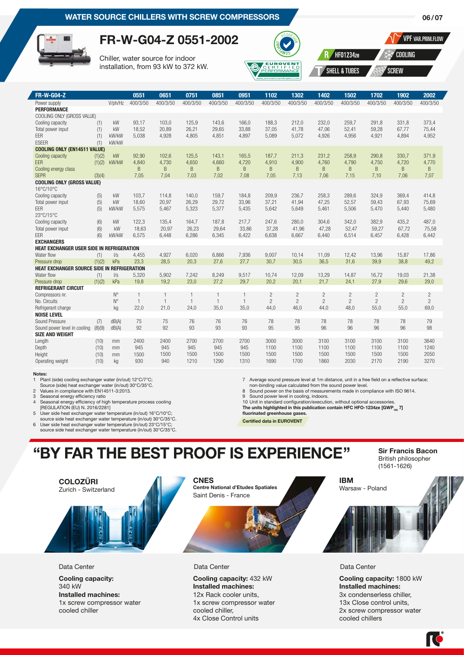

### FR-W-G04-Z 0551-2002

Chiller, water source for indoor installation, from 93 kW to 372 kW.



VPF VAR.PRIM.FLOW

06 / 07

HF01234ze COOLING

SHELL & TUBES SCREW

| <b>FR-W-G04-Z</b>                              |        |             | 0551         | 0651         | 0751           | 0851         | 0951           | 1102           | 1302           | 1402           | 1502           | 1702           | 1902           | 2002           |
|------------------------------------------------|--------|-------------|--------------|--------------|----------------|--------------|----------------|----------------|----------------|----------------|----------------|----------------|----------------|----------------|
| Power supply                                   |        | V/ph/Hz     | 400/3/50     | 400/3/50     | 400/3/50       | 400/3/50     | 400/3/50       | 400/3/50       | 400/3/50       | 400/3/50       | 400/3/50       | 400/3/50       | 400/3/50       | 400/3/50       |
| <b>PERFORMANCE</b>                             |        |             |              |              |                |              |                |                |                |                |                |                |                |                |
| COOLING ONLY (GROSS VALUE)                     |        |             |              |              |                |              |                |                |                |                |                |                |                |                |
| Cooling capacity                               | (1)    | kW          | 93,17        | 103,0        | 125,9          | 143,6        | 166,0          | 188,3          | 212,0          | 232,0          | 259,7          | 291,8          | 331,8          | 373,4          |
| Total power input                              | (1)    | kW          | 18,52        | 20,89        | 26,21          | 29,65        | 33,88          | 37,05          | 41,78          | 47,06          | 52,41          | 59,28          | 67,77          | 75,44          |
| <b>FFR</b>                                     | (1)    | kW/kW       | 5,038        | 4,928        | 4,805          | 4,851        | 4,897          | 5,089          | 5,072          | 4,926          | 4,956          | 4,921          | 4,894          | 4,952          |
| <b>ESEER</b>                                   | (1)    | kW/kW       |              |              |                |              |                |                |                |                |                |                |                |                |
| <b>COOLING ONLY (EN14511 VALUE)</b>            |        |             |              |              |                |              |                |                |                |                |                |                |                |                |
| Cooling capacity                               | (1)(2) | kW          | 92,90        | 102,6        | 125,5          | 143.1        | 165,5          | 187,7          | 211,3          | 231,2          | 258.9          | 290.8          | 330,7          | 371.9          |
| <b>FFR</b>                                     | (1)(2) | kW/kW       | 4.840        | 4,730        | 4,650          | 4,660        | 4,720          | 4.910          | 4,900          | 4,760          | 4,790          | 4,750          | 4,720          | 4,770          |
| Cooling energy class                           |        |             | B            | <sub>B</sub> | B              | B            | B              | B              | B              | B              | B              | B              | B              | B              |
| <b>SFPR</b>                                    | (3)(4) |             | 7,05         | 7,04         | 7,03           | 7,02         | 7,08           | 7,05           | 7,13           | 7,06           | 7,15           | 7,10           | 7,06           | 7,07           |
| <b>COOLING ONLY (GROSS VALUE)</b><br>16°C/10°C |        |             |              |              |                |              |                |                |                |                |                |                |                |                |
| Cooling capacity                               | (5)    | kW          | 103,7        | 114,8        | 140,0          | 159,7        | 184,8          | 209,9          | 236,7          | 258,3          | 289,6          | 324,9          | 369,4          | 414,8          |
| Total power input                              | (5)    | kW          | 18,60        | 20,97        | 26,29          | 29,72        | 33,96          | 37,21          | 41,94          | 47,25          | 52,57          | 59,43          | 67,93          | 75,69          |
| <b>FFR</b>                                     | (5)    | kW/kW       | 5,575        | 5,467        | 5,323          | 5,377        | 5,435          | 5,642          | 5,649          | 5,461          | 5,506          | 5,470          | 5,440          | 5,480          |
| 23°C/15°C                                      |        |             |              |              |                |              |                |                |                |                |                |                |                |                |
| Cooling capacity                               | (6)    | kW          | 122,3        | 135,4        | 164,7          | 187,8        | 217,7          | 247,6          | 280,0          | 304.6          | 342.0          | 382,9          | 435,2          | 487,0          |
| Total power input                              | (6)    | kW          | 18,63        | 20,97        | 26,23          | 29,64        | 33,86          | 37,28          | 41,96          | 47,28          | 52,47          | 59,27          | 67,72          | 75,58          |
| FFR                                            | (6)    | kW/kW       | 6,575        | 6,448        | 6,286          | 6,345        | 6,422          | 6,638          | 6,667          | 6,440          | 6,514          | 6,457          | 6,428          | 6,442          |
| <b>EXCHANGERS</b>                              |        |             |              |              |                |              |                |                |                |                |                |                |                |                |
| HEAT EXCHANGER USER SIDE IN REFRIGERATION      |        |             |              |              |                |              |                |                |                |                |                |                |                |                |
| Water flow                                     | (1)    | I/s         | 4,455        | 4,927        | 6,020          | 6.866        | 7,936          | 9,007          | 10.14          | 11.09          | 12,42          | 13,96          | 15,87          | 17,86          |
| Pressure drop                                  | (1)(2) | kPa         | 23,3         | 28,5         | 20,3           | 27.6         | 27,7           | 30,7           | 30,5           | 36.5           | 31,6           | 39,9           | 38,8           | 49,2           |
| HEAT EXCHANGER SOURCE SIDE IN REFRIGERATION    |        |             |              |              |                |              |                |                |                |                |                |                |                |                |
| Water flow                                     | (1)    | $\sqrt{s}$  | 5,320        | 5,902        | 7,242          | 8,249        | 9,517          | 10,74          | 12,09          | 13,29          | 14,87          | 16,72          | 19,03          | 21,38          |
| Pressure drop                                  | (1)(2) | kPa         | 19.8         | 19,2         | 23,0           | 27,2         | 29,7           | 20,2           | 20,1           | 21,7           | 24,1           | 27,9           | 29,6           | 29,0           |
| <b>REFRIGERANT CIRCUIT</b>                     |        |             |              |              |                |              |                |                |                |                |                |                |                |                |
| Compressors nr.                                |        | $N^{\circ}$ | $\mathbf{1}$ |              | $\overline{1}$ | $\mathbf{1}$ | $\overline{1}$ | $\overline{c}$ | 2              | $\overline{c}$ | $\overline{c}$ | $\overline{c}$ | $\overline{c}$ | $\overline{c}$ |
| No. Circuits                                   |        | $N^{\circ}$ | $\mathbf{1}$ | $\mathbf{1}$ | $\overline{1}$ | $\mathbf{1}$ | $\mathbf{1}$   | $\overline{c}$ | $\overline{c}$ | $\overline{c}$ | $\overline{c}$ | $\overline{c}$ | $\overline{2}$ | $\overline{c}$ |
| Refrigerant charge                             |        | kg          | 22,0         | 21,0         | 24,0           | 35,0         | 35,0           | 44.0           | 46,0           | 44.0           | 48,0           | 55,0           | 55.0           | 69,0           |
| <b>NOISE LEVEL</b>                             |        |             |              |              |                |              |                |                |                |                |                |                |                |                |
| Sound Pressure                                 | (7)    | dB(A)       | 75           | 75           | 76             | 76           | 76             | 78             | 78             | 78             | 78             | 78             | 78             | 79             |
| Sound power level in cooling                   | (8)(9) | dB(A)       | 92           | 92           | 93             | 93           | 93             | 95             | 95             | 96             | 96             | 96             | 96             | 98             |
| <b>SIZE AND WEIGHT</b>                         |        |             |              |              |                |              |                |                |                |                |                |                |                |                |
| Length                                         | (10)   | mm          | 2400         | 2400         | 2700           | 2700         | 2700           | 3000           | 3000           | 3100           | 3100           | 3100           | 3100           | 3640           |
| Depth                                          | (10)   | mm          | 945          | 945          | 945            | 945          | 945            | 1100           | 1100           | 1100           | 1100           | 1100           | 1100           | 1240           |
| Height                                         | (10)   | mm          | 1500         | 1500         | 1500           | 1500         | 1500           | 1500           | 1500           | 1500           | 1500           | 1500           | 1500           | 2050           |
| Operating weight                               | (10)   | kg          | 930          | 940          | 1210           | 1290         | 1310           | 1690           | 1700           | 1860           | 2030           | 2170           | 2190           | 3270           |

#### Notes:<br>1 Pla

1 Plant (side) cooling exchanger water (in/out) 12°C/7°C; Source (side) heat exchanger water (in/out) 30°C/35°C. 2 Values in compliance with EN14511-3:2013.

3 Seasonal energy efficiency ratio 4 Seasonal energy efficiency of high temperature process cooling

[REGULATION (EU) N. 2016/2281]

5 User side heat exchanger water temperature (in/out) 16°C/10°C; source side heat exchanger water temperature (in/out) 30°C/35°C.

6 User side heat exchanger water temperature (in/out) 23°C/15°C; source side heat exchanger water temperature (in/out) 30°C/35°C.

7 Average sound pressure level at 1m distance, unit in a free field on a reflective surface;

non-binding value calculated from the sound power level. 8 Sound power on the basis of measurements made in compliance with ISO 9614.

9 Sound power level in cooling, indoors. 10 Unit in standard configuration/execution, without optional accessories.

The units highlighted in this publication contain HFC HFO-1234ze  $\text{[GWP]}_{100}$  7] fluorinated greenhouse gases

Certified data in EUROVENT

## "BY FAR THE BEST PROOF IS EXPERIENCE" Sir Francis Bacon

**COLOZÜRI** Zurich - Switzerland **CNES** Centre National d'Etudes Spatiales Saint Denis - France IBM Warsaw - Poland Data Center Data Center Data Center

Cooling capacity: 340 kW Installed machines: 1x screw compressor water cooled chiller

Cooling capacity: 432 kW Installed machines: 12x Rack cooler units, 1x screw compressor water cooled chiller, 4x Close Control units

Cooling capacity: 1800 kW Installed machines: 3x condenserless chiller, 13x Close control units, 2x screw compressor water cooled chillers

IC

British philosopher (1561-1626)